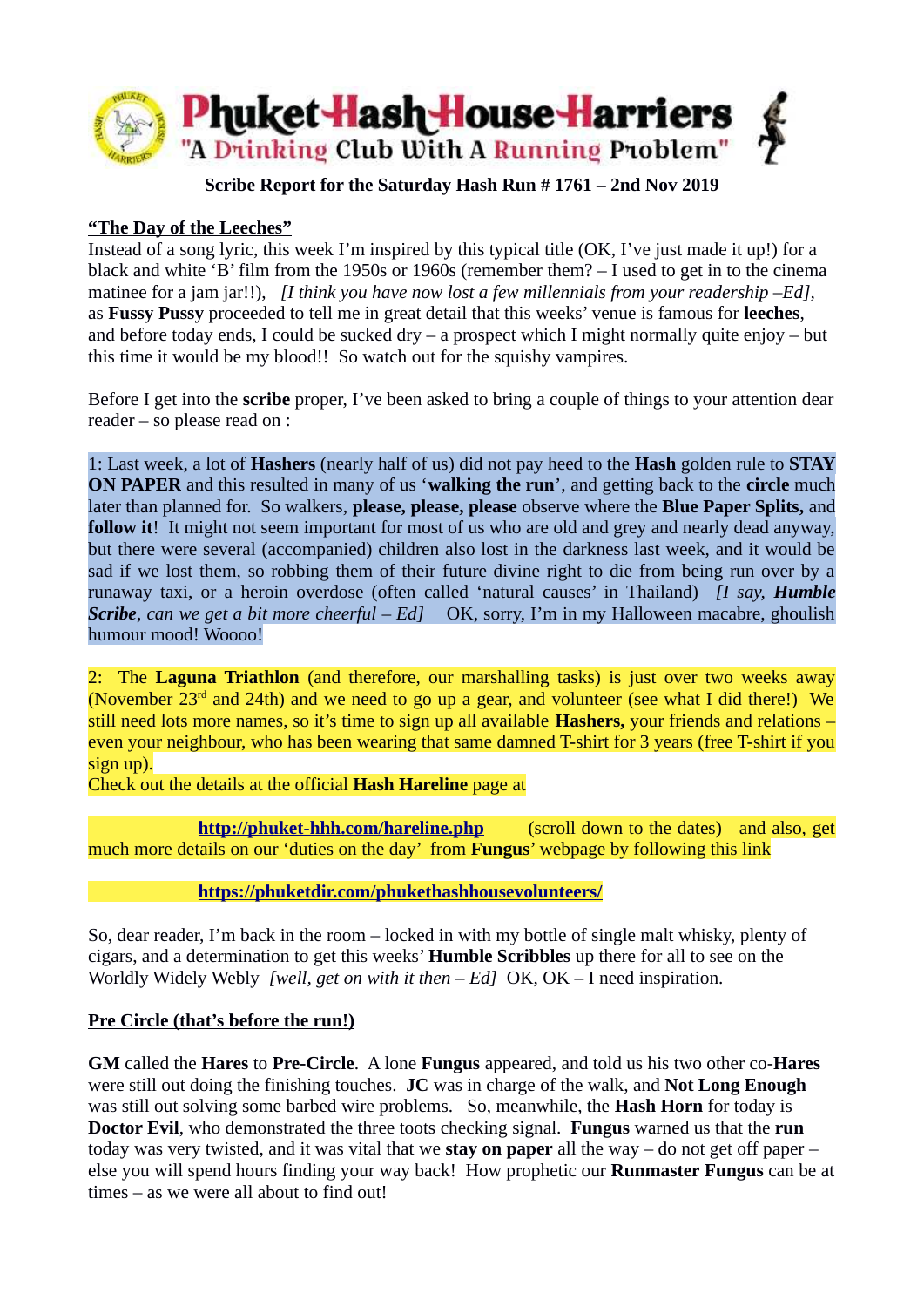

## **Scribe Report for the Saturday Hash Run # 1761 – 2nd Nov 2019**

### **"The Day of the Leeches"**

Instead of a song lyric, this week I'm inspired by this typical title (OK, I've just made it up!) for a black and white 'B' film from the 1950s or 1960s (remember them? – I used to get in to the cinema matinee for a jam jar!!), *[I think you have now lost a few millennials from your readership –Ed],* as **Fussy Pussy** proceeded to tell me in great detail that this weeks' venue is famous for **leeches**, and before today ends, I could be sucked dry – a prospect which I might normally quite enjoy – but this time it would be my blood!! So watch out for the squishy vampires.

Before I get into the **scribe** proper, I've been asked to bring a couple of things to your attention dear reader – so please read on :

1: Last week, a lot of **Hashers** (nearly half of us) did not pay heed to the **Hash** golden rule to **STAY ON PAPER** and this resulted in many of us '**walking the run**', and getting back to the **circle** much later than planned for. So walkers, **please, please, please** observe where the **Blue Paper Splits,** and **follow it**! It might not seem important for most of us who are old and grey and nearly dead anyway, but there were several (accompanied) children also lost in the darkness last week, and it would be sad if we lost them, so robbing them of their future divine right to die from being run over by a runaway taxi, or a heroin overdose (often called 'natural causes' in Thailand) *[I say, Humble Scribe, can we get a bit more cheerful – Ed]* OK, sorry, I'm in my Halloween macabre, ghoulish humour mood! Woooo!

2: The **Laguna Triathlon** (and therefore, our marshalling tasks) is just over two weeks away (November 23<sup>rd</sup> and 24th) and we need to go up a gear, and volunteer (see what I did there!) We still need lots more names, so it's time to sign up all available **Hashers,** your friends and relations – even your neighbour, who has been wearing that same damned T-shirt for 3 years (free T-shirt if you sign up).

Check out the details at the official **Hash Hareline** page at

**<http://phuket-hhh.com/hareline.php>** (scroll down to the dates) and also, get much more details on our 'duties on the day' from **Fungus**' webpage by following this link

#### **<https://phuketdir.com/phukethashhousevolunteers/>**

So, dear reader, I'm back in the room – locked in with my bottle of single malt whisky, plenty of cigars, and a determination to get this weeks' **Humble Scribbles** up there for all to see on the Worldly Widely Webly *[well, get on with it then – Ed]* OK, OK – I need inspiration.

#### **Pre Circle (that's before the run!)**

**GM** called the **Hares** to **Pre-Circle**. A lone **Fungus** appeared, and told us his two other co-**Hares** were still out doing the finishing touches. **JC** was in charge of the walk, and **Not Long Enough** was still out solving some barbed wire problems. So, meanwhile, the **Hash Horn** for today is **Doctor Evil**, who demonstrated the three toots checking signal. **Fungus** warned us that the **run** today was very twisted, and it was vital that we **stay on paper** all the way – do not get off paper – else you will spend hours finding your way back! How prophetic our **Runmaster Fungus** can be at times – as we were all about to find out!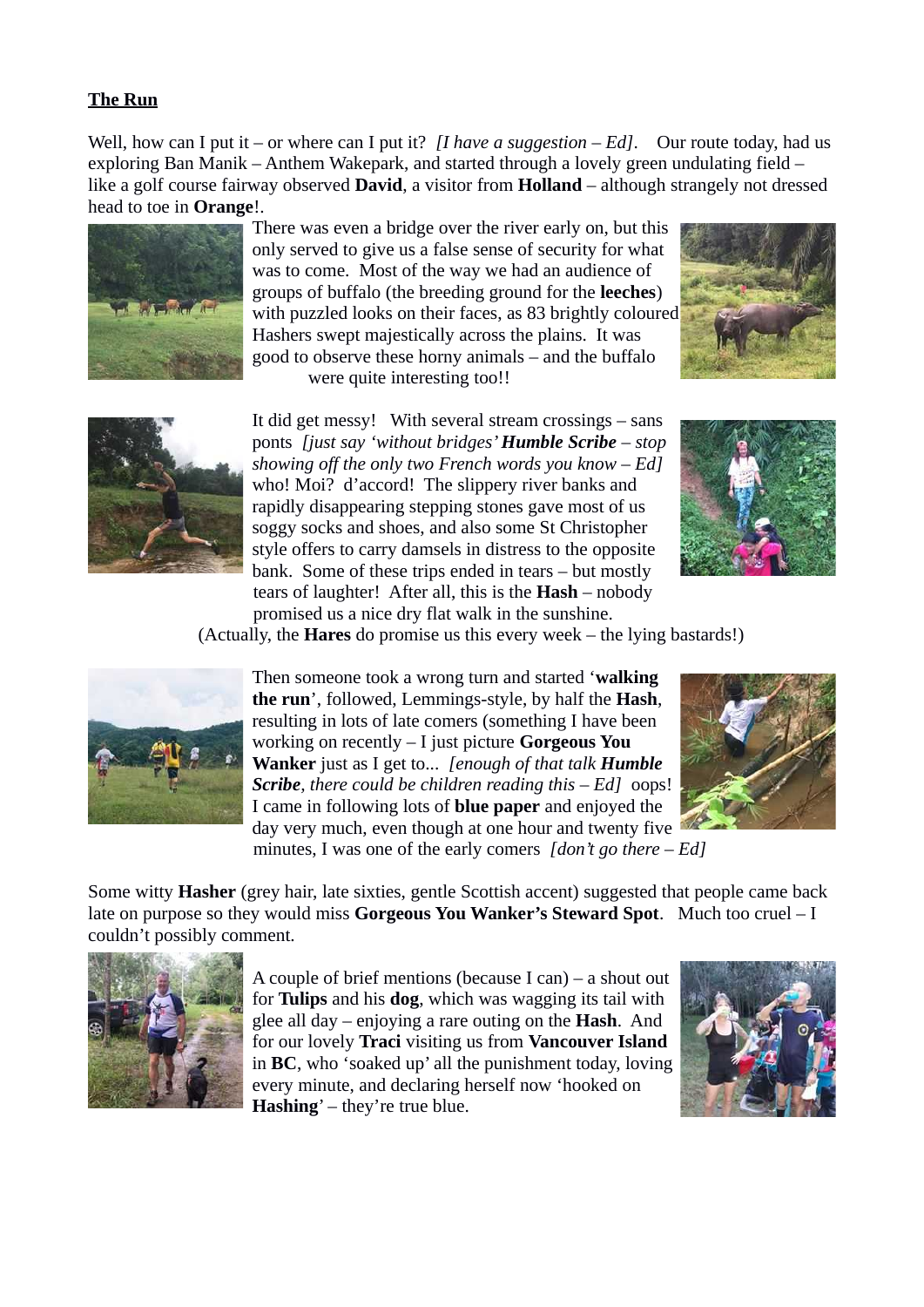# **The Run**

Well, how can I put it – or where can I put it? *[I have a suggestion – Ed]*. Our route today, had us exploring Ban Manik – Anthem Wakepark, and started through a lovely green undulating field – like a golf course fairway observed **David**, a visitor from **Holland** – although strangely not dressed head to toe in **Orange**!.



There was even a bridge over the river early on, but this only served to give us a false sense of security for what was to come. Most of the way we had an audience of groups of buffalo (the breeding ground for the **leeches**) with puzzled looks on their faces, as 83 brightly coloured Hashers swept majestically across the plains. It was good to observe these horny animals – and the buffalo were quite interesting too!!





It did get messy! With several stream crossings – sans ponts *[just say 'without bridges' Humble Scribe – stop showing off the only two French words you know – Ed]* who! Moi? d'accord! The slippery river banks and rapidly disappearing stepping stones gave most of us soggy socks and shoes, and also some St Christopher style offers to carry damsels in distress to the opposite bank. Some of these trips ended in tears – but mostly tears of laughter! After all, this is the **Hash** – nobody promised us a nice dry flat walk in the sunshine.



(Actually, the **Hares** do promise us this every week – the lying bastards!)



Then someone took a wrong turn and started '**walking the run**', followed, Lemmings-style, by half the **Hash**, resulting in lots of late comers (something I have been working on recently – I just picture **Gorgeous You Wanker** just as I get to... *[enough of that talk Humble Scribe, there could be children reading this – Ed]* oops! I came in following lots of **blue paper** and enjoyed the day very much, even though at one hour and twenty five minutes, I was one of the early comers *[don't go there – Ed]*



Some witty **Hasher** (grey hair, late sixties, gentle Scottish accent) suggested that people came back late on purpose so they would miss **Gorgeous You Wanker's Steward Spot**. Much too cruel – I couldn't possibly comment.



A couple of brief mentions (because I can) – a shout out for **Tulips** and his **dog**, which was wagging its tail with glee all day – enjoying a rare outing on the **Hash**. And for our lovely **Traci** visiting us from **Vancouver Island** in **BC**, who 'soaked up' all the punishment today, loving every minute, and declaring herself now 'hooked on **Hashing**' – they're true blue.

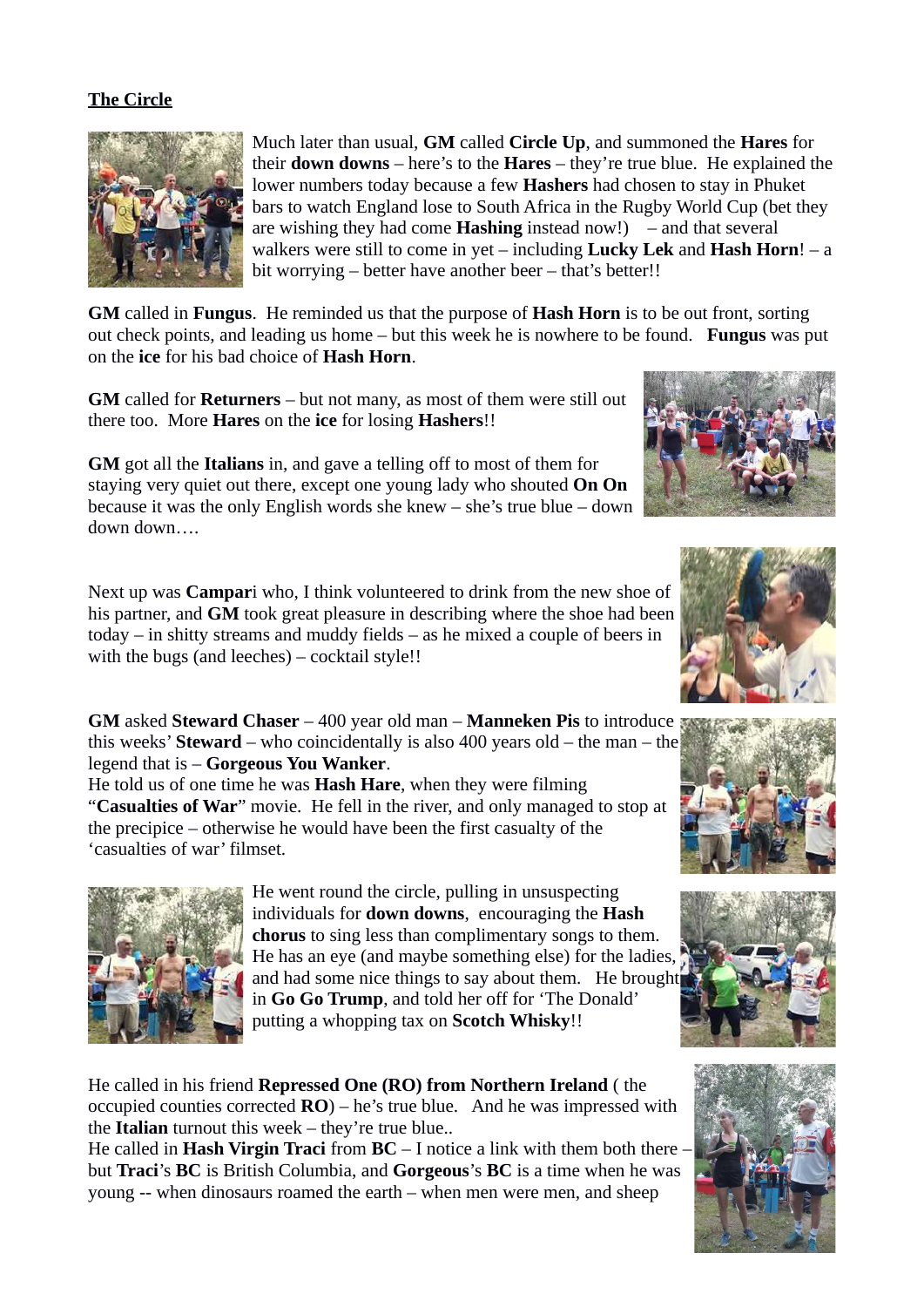## **The Circle**



Much later than usual, **GM** called **Circle Up**, and summoned the **Hares** for their **down downs** – here's to the **Hares** – they're true blue. He explained the lower numbers today because a few **Hashers** had chosen to stay in Phuket bars to watch England lose to South Africa in the Rugby World Cup (bet they are wishing they had come **Hashing** instead now!) – and that several walkers were still to come in yet – including **Lucky Lek** and **Hash Horn**! – a bit worrying – better have another beer – that's better!!

**GM** called in **Fungus**. He reminded us that the purpose of **Hash Horn** is to be out front, sorting out check points, and leading us home – but this week he is nowhere to be found. **Fungus** was put on the **ice** for his bad choice of **Hash Horn**.

**GM** called for **Returners** – but not many, as most of them were still out there too. More **Hares** on the **ice** for losing **Hashers**!!

**GM** got all the **Italians** in, and gave a telling off to most of them for staying very quiet out there, except one young lady who shouted **On On** because it was the only English words she knew – she's true blue – down down down….

Next up was **Campar**i who, I think volunteered to drink from the new shoe of his partner, and **GM** took great pleasure in describing where the shoe had been today – in shitty streams and muddy fields – as he mixed a couple of beers in with the bugs (and leeches) – cocktail style!!

**GM** asked **Steward Chaser** – 400 year old man – **Manneken Pis** to introduce this weeks' **Steward** – who coincidentally is also 400 years old – the man – the legend that is – **Gorgeous You Wanker**.

He told us of one time he was **Hash Hare**, when they were filming "**Casualties of War**" movie. He fell in the river, and only managed to stop at the precipice – otherwise he would have been the first casualty of the 'casualties of war' filmset.



He went round the circle, pulling in unsuspecting individuals for **down downs**, encouraging the **Hash chorus** to sing less than complimentary songs to them. He has an eye (and maybe something else) for the ladies, and had some nice things to say about them. He brought in **Go Go Trump**, and told her off for 'The Donald' putting a whopping tax on **Scotch Whisky**!!

He called in his friend **Repressed One (RO) from Northern Ireland** ( the occupied counties corrected **RO**) – he's true blue. And he was impressed with the **Italian** turnout this week – they're true blue..

He called in **Hash Virgin Traci** from **BC** – I notice a link with them both there – but **Traci**'s **BC** is British Columbia, and **Gorgeous**'s **BC** is a time when he was young -- when dinosaurs roamed the earth – when men were men, and sheep









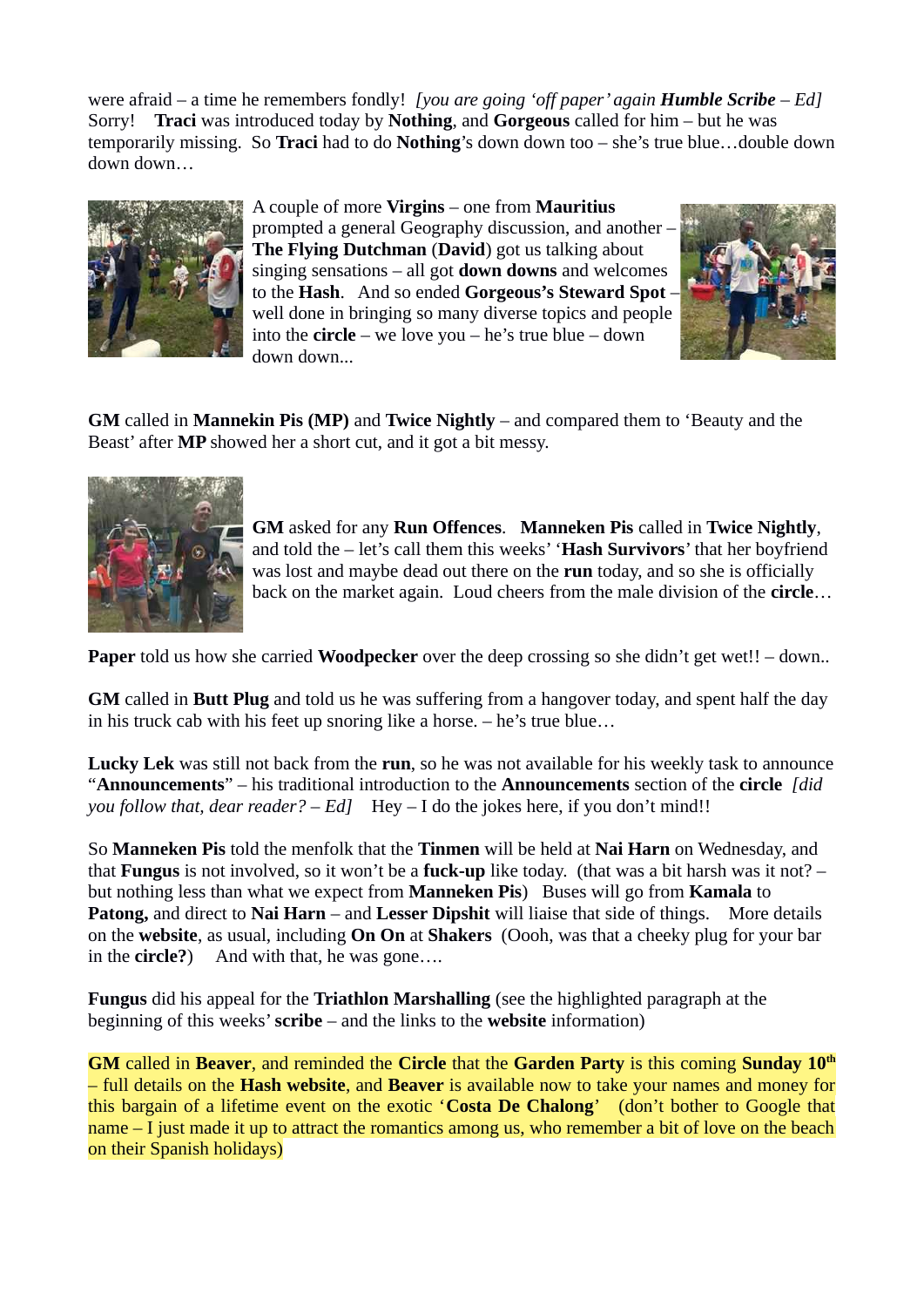were afraid – a time he remembers fondly! *[you are going 'off paper' again Humble Scribe – Ed]* Sorry! **Traci** was introduced today by **Nothing**, and **Gorgeous** called for him – but he was temporarily missing. So **Traci** had to do **Nothing**'s down down too – she's true blue…double down down down…



A couple of more **Virgins** – one from **Mauritius** prompted a general Geography discussion, and another – **The Flying Dutchman** (**David**) got us talking about singing sensations – all got **down downs** and welcomes to the **Hash**. And so ended **Gorgeous's Steward Spot** – well done in bringing so many diverse topics and people into the **circle** – we love you – he's true blue – down down down...



**GM** called in **Mannekin Pis (MP)** and **Twice Nightly** – and compared them to 'Beauty and the Beast' after **MP** showed her a short cut, and it got a bit messy.



**GM** asked for any **Run Offences**. **Manneken Pis** called in **Twice Nightly**, and told the – let's call them this weeks' '**Hash Survivors**' that her boyfriend was lost and maybe dead out there on the **run** today, and so she is officially back on the market again. Loud cheers from the male division of the **circle**…

**Paper** told us how she carried **Woodpecker** over the deep crossing so she didn't get wet!! – down..

**GM** called in **Butt Plug** and told us he was suffering from a hangover today, and spent half the day in his truck cab with his feet up snoring like a horse. – he's true blue…

**Lucky Lek** was still not back from the **run**, so he was not available for his weekly task to announce "**Announcements**" – his traditional introduction to the **Announcements** section of the **circle** *[did you follow that, dear reader? – Ed]* Hey – I do the jokes here, if you don't mind!!

So **Manneken Pis** told the menfolk that the **Tinmen** will be held at **Nai Harn** on Wednesday, and that **Fungus** is not involved, so it won't be a **fuck-up** like today. (that was a bit harsh was it not? – but nothing less than what we expect from **Manneken Pis**) Buses will go from **Kamala** to **Patong,** and direct to **Nai Harn** – and **Lesser Dipshit** will liaise that side of things. More details on the **website**, as usual, including **On On** at **Shakers** (Oooh, was that a cheeky plug for your bar in the **circle?**) And with that, he was gone....

**Fungus** did his appeal for the **Triathlon Marshalling** (see the highlighted paragraph at the beginning of this weeks' **scribe** – and the links to the **website** information)

**GM** called in **Beaver**, and reminded the **Circle** that the **Garden Party** is this coming **Sunday 10th** – full details on the **Hash website**, and **Beaver** is available now to take your names and money for this bargain of a lifetime event on the exotic '**Costa De Chalong**' (don't bother to Google that name – I just made it up to attract the romantics among us, who remember a bit of love on the beach on their Spanish holidays)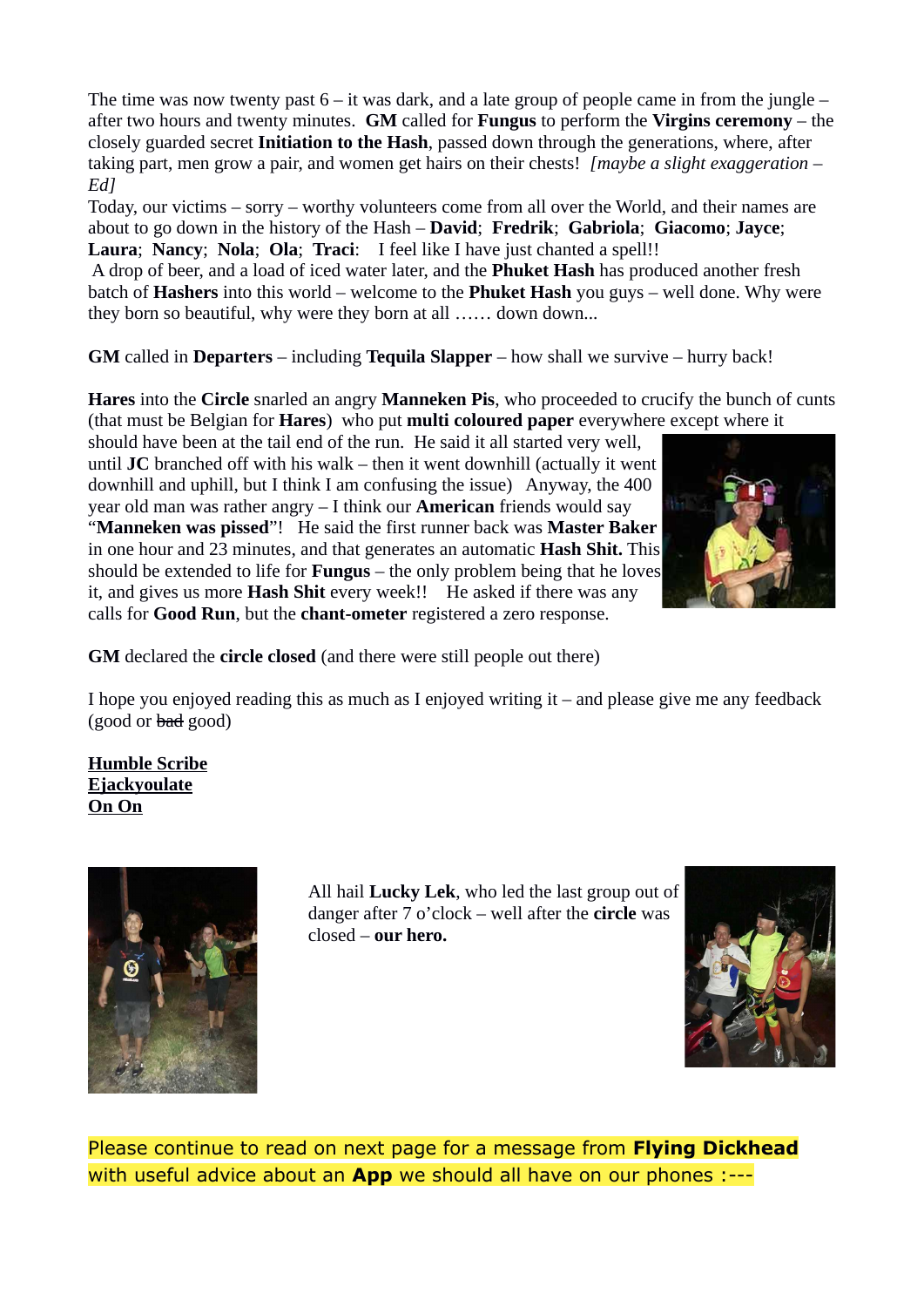The time was now twenty past  $6 - it$  was dark, and a late group of people came in from the jungle  $$ after two hours and twenty minutes. **GM** called for **Fungus** to perform the **Virgins ceremony** – the closely guarded secret **Initiation to the Hash**, passed down through the generations, where, after taking part, men grow a pair, and women get hairs on their chests! *[maybe a slight exaggeration – Ed]* 

Today, our victims – sorry – worthy volunteers come from all over the World, and their names are about to go down in the history of the Hash – **David**; **Fredrik**; **Gabriola**; **Giacomo**; **Jayce**; **Laura**; **Nancy**; **Nola**; **Ola**; **Traci**: I feel like I have just chanted a spell!!

 A drop of beer, and a load of iced water later, and the **Phuket Hash** has produced another fresh batch of **Hashers** into this world – welcome to the **Phuket Hash** you guys – well done. Why were they born so beautiful, why were they born at all …… down down...

**GM** called in **Departers** – including **Tequila Slapper** – how shall we survive – hurry back!

**Hares** into the **Circle** snarled an angry **Manneken Pis**, who proceeded to crucify the bunch of cunts (that must be Belgian for **Hares**) who put **multi coloured paper** everywhere except where it

should have been at the tail end of the run. He said it all started very well, until **JC** branched off with his walk – then it went downhill (actually it went downhill and uphill, but I think I am confusing the issue) Anyway, the 400 year old man was rather angry – I think our **American** friends would say "**Manneken was pissed**"! He said the first runner back was **Master Baker** in one hour and 23 minutes, and that generates an automatic **Hash Shit.** This should be extended to life for **Fungus** – the only problem being that he loves it, and gives us more **Hash Shit** every week!! He asked if there was any calls for **Good Run**, but the **chant-ometer** registered a zero response.



**GM** declared the **circle closed** (and there were still people out there)

I hope you enjoyed reading this as much as I enjoyed writing it – and please give me any feedback (good or bad good)

**Humble Scribe Ejackyoulate On On**



All hail **Lucky Lek**, who led the last group out of danger after 7 o'clock – well after the **circle** was closed – **our hero.**



Please continue to read on next page for a message from **Flying Dickhead** with useful advice about an **App** we should all have on our phones :---